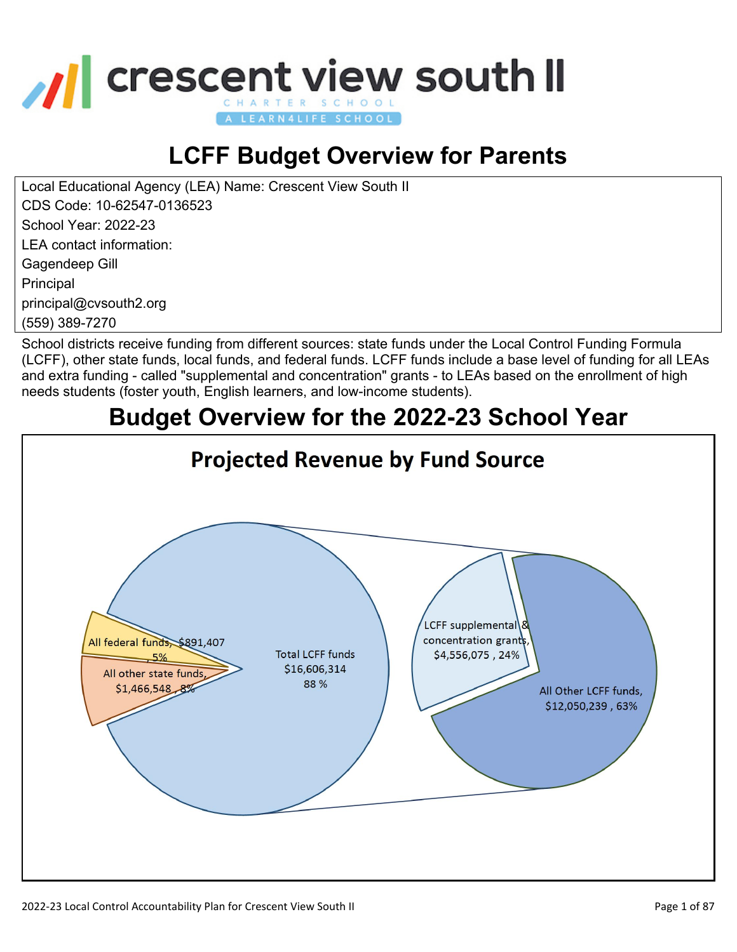

# **LCFF Budget Overview for Parents**

Local Educational Agency (LEA) Name: Crescent View South II

CDS Code: 10-62547-0136523

School Year: 2022-23

LEA contact information:

Gagendeep Gill

Principal

principal@cvsouth2.org

(559) 389-7270

School districts receive funding from different sources: state funds under the Local Control Funding Formula (LCFF), other state funds, local funds, and federal funds. LCFF funds include a base level of funding for all LEAs and extra funding - called "supplemental and concentration" grants - to LEAs based on the enrollment of high needs students (foster youth, English learners, and low-income students).

# **Budget Overview for the 2022-23 School Year**

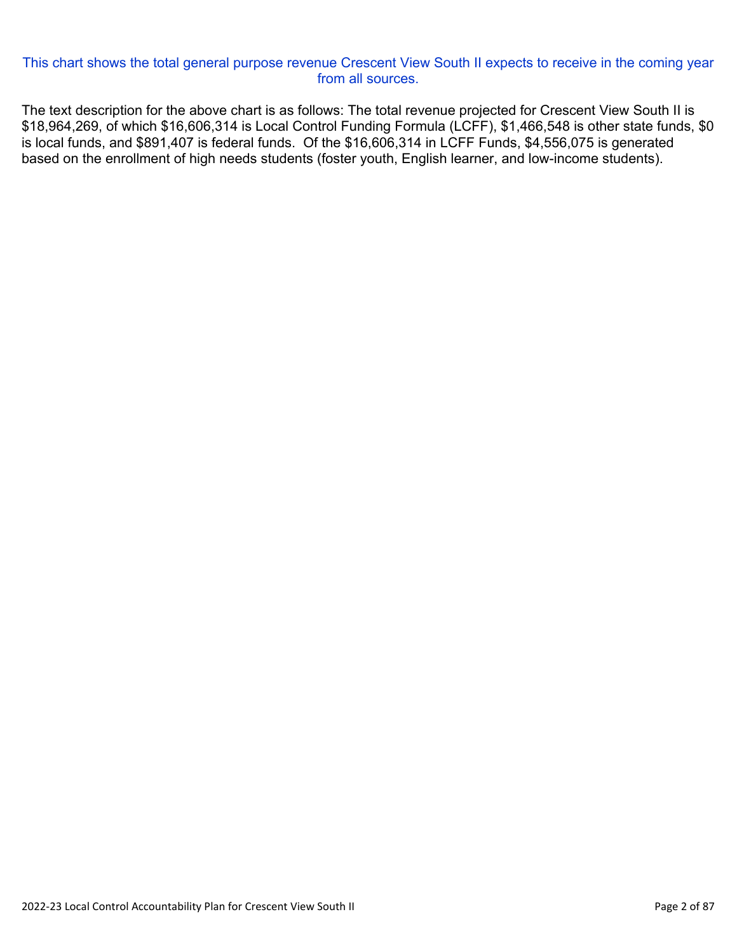#### This chart shows the total general purpose revenue Crescent View South II expects to receive in the coming year from all sources.

The text description for the above chart is as follows: The total revenue projected for Crescent View South II is \$18,964,269, of which \$16,606,314 is Local Control Funding Formula (LCFF), \$1,466,548 is other state funds, \$0 is local funds, and \$891,407 is federal funds. Of the \$16,606,314 in LCFF Funds, \$4,556,075 is generated based on the enrollment of high needs students (foster youth, English learner, and low-income students).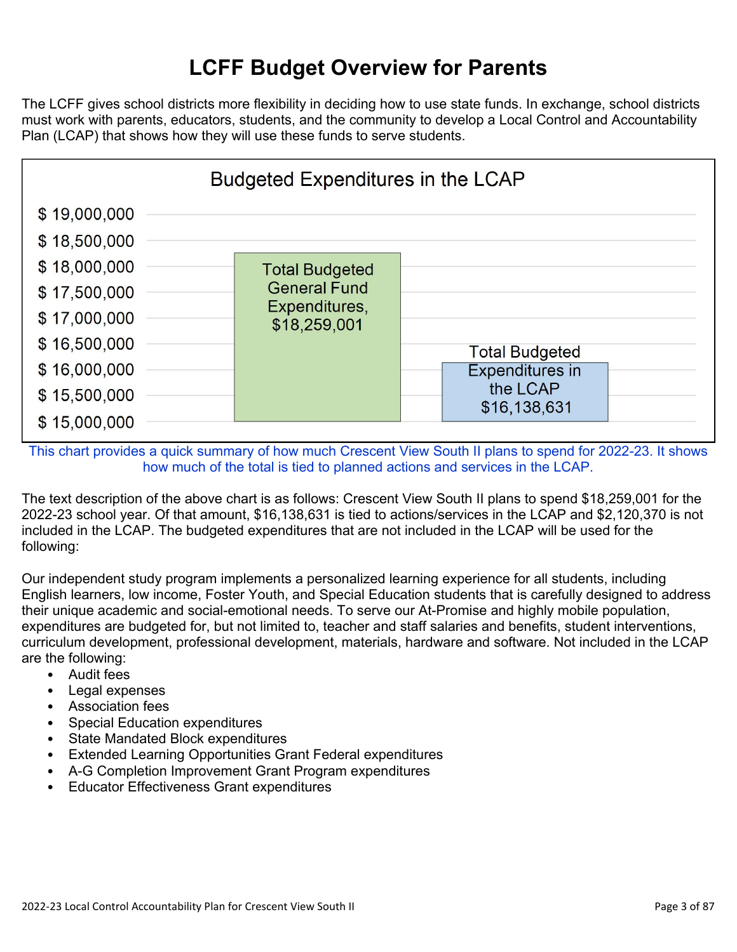#### **LCFF Budget Overview for Parents**

The LCFF gives school districts more flexibility in deciding how to use state funds. In exchange, school districts must work with parents, educators, students, and the community to develop a Local Control and Accountability Plan (LCAP) that shows how they will use these funds to serve students.



This chart provides a quick summary of how much Crescent View South II plans to spend for 2022-23. It shows how much of the total is tied to planned actions and services in the LCAP.

The text description of the above chart is as follows: Crescent View South II plans to spend \$18,259,001 for the 2022-23 school year. Of that amount, \$16,138,631 is tied to actions/services in the LCAP and \$2,120,370 is not included in the LCAP. The budgeted expenditures that are not included in the LCAP will be used for the following:

Our independent study program implements a personalized learning experience for all students, including English learners, low income, Foster Youth, and Special Education students that is carefully designed to address their unique academic and social-emotional needs. To serve our At-Promise and highly mobile population, expenditures are budgeted for, but not limited to, teacher and staff salaries and benefits, student interventions, curriculum development, professional development, materials, hardware and software. Not included in the LCAP are the following:

- Audit fees
- Legal expenses
- Association fees
- Special Education expenditures
- State Mandated Block expenditures
- Extended Learning Opportunities Grant Federal expenditures
- A-G Completion Improvement Grant Program expenditures
- Educator Effectiveness Grant expenditures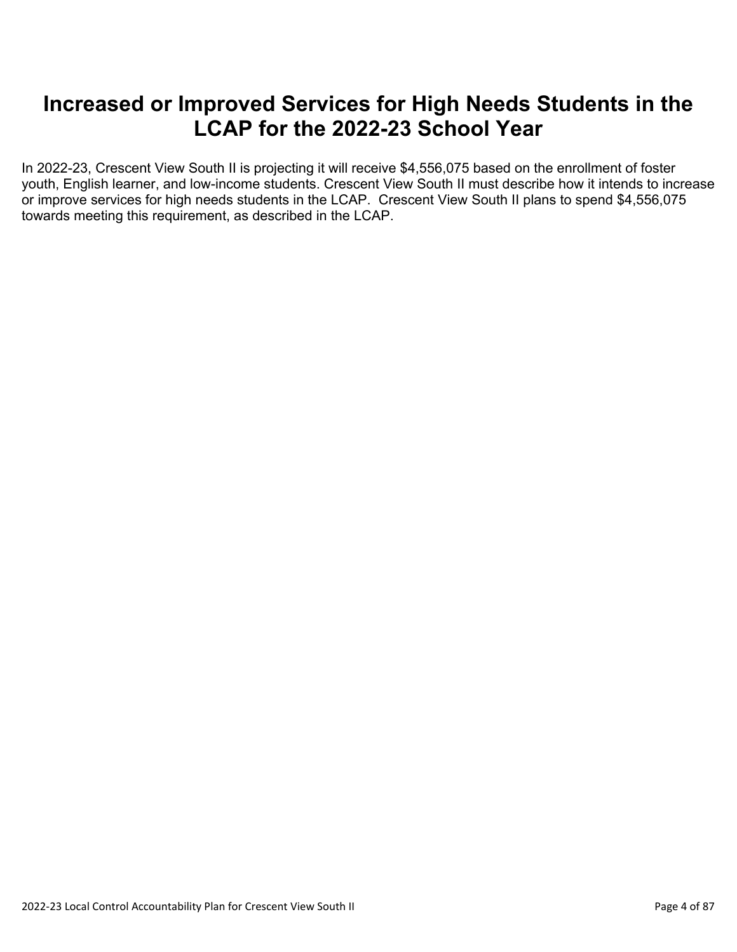#### **Increased or Improved Services for High Needs Students in the LCAP for the 2022-23 School Year**

In 2022-23, Crescent View South II is projecting it will receive \$4,556,075 based on the enrollment of foster youth, English learner, and low-income students. Crescent View South II must describe how it intends to increase or improve services for high needs students in the LCAP. Crescent View South II plans to spend \$4,556,075 towards meeting this requirement, as described in the LCAP.